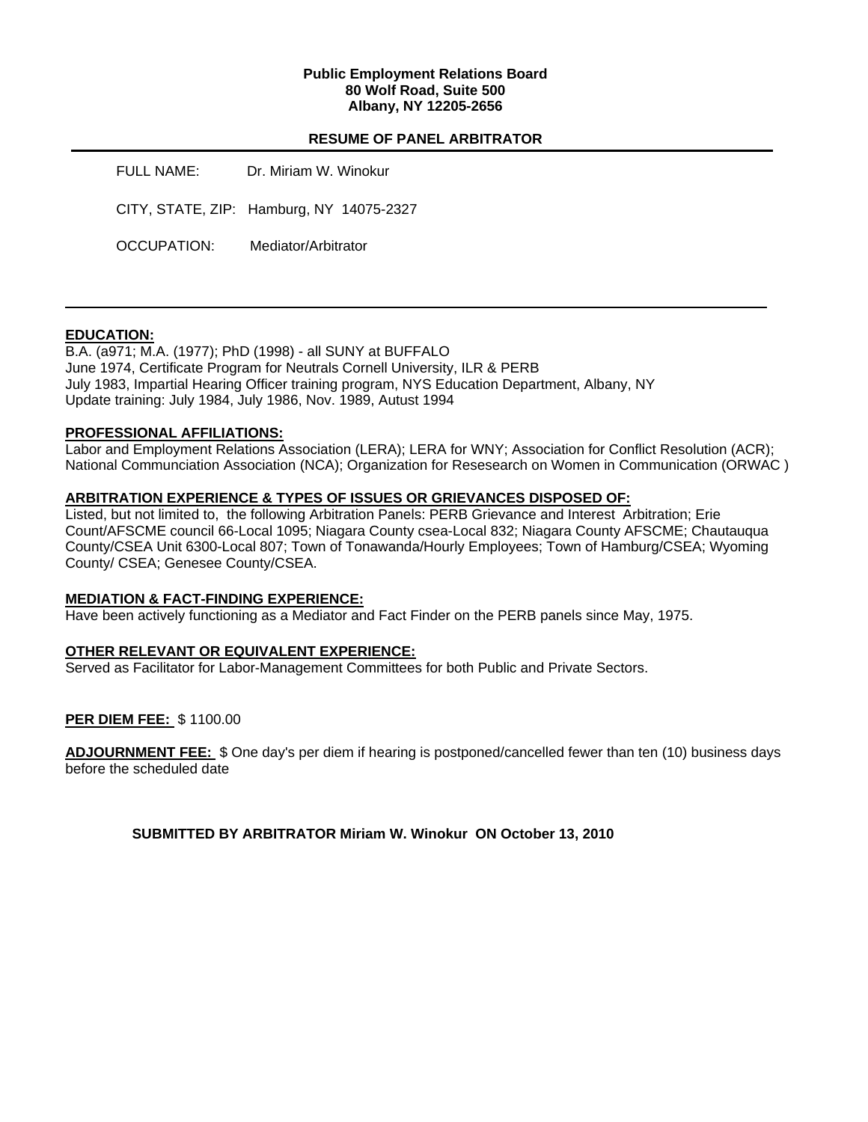## **Public Employment Relations Board 80 Wolf Road, Suite 500 Albany, NY 12205-2656**

# **RESUME OF PANEL ARBITRATOR**

| FULL NAME:  | Dr. Miriam W. Winokur                    |
|-------------|------------------------------------------|
|             | CITY, STATE, ZIP: Hamburg, NY 14075-2327 |
| OCCUPATION: | Mediator/Arbitrator                      |

## **EDUCATION:**

B.A. (a971; M.A. (1977); PhD (1998) - all SUNY at BUFFALO June 1974, Certificate Program for Neutrals Cornell University, ILR & PERB July 1983, Impartial Hearing Officer training program, NYS Education Department, Albany, NY Update training: July 1984, July 1986, Nov. 1989, Autust 1994

## **PROFESSIONAL AFFILIATIONS:**

Labor and Employment Relations Association (LERA); LERA for WNY; Association for Conflict Resolution (ACR); National Communciation Association (NCA); Organization for Resesearch on Women in Communication (ORWAC )

## **ARBITRATION EXPERIENCE & TYPES OF ISSUES OR GRIEVANCES DISPOSED OF:**

Listed, but not limited to, the following Arbitration Panels: PERB Grievance and Interest Arbitration; Erie Count/AFSCME council 66-Local 1095; Niagara County csea-Local 832; Niagara County AFSCME; Chautauqua County/CSEA Unit 6300-Local 807; Town of Tonawanda/Hourly Employees; Town of Hamburg/CSEA; Wyoming County/ CSEA; Genesee County/CSEA.

## **MEDIATION & FACT-FINDING EXPERIENCE:**

Have been actively functioning as a Mediator and Fact Finder on the PERB panels since May, 1975.

## **OTHER RELEVANT OR EQUIVALENT EXPERIENCE:**

Served as Facilitator for Labor-Management Committees for both Public and Private Sectors.

## **PER DIEM FEE:** \$ 1100.00

**ADJOURNMENT FEE:** \$ One day's per diem if hearing is postponed/cancelled fewer than ten (10) business days before the scheduled date

**SUBMITTED BY ARBITRATOR Miriam W. Winokur ON October 13, 2010**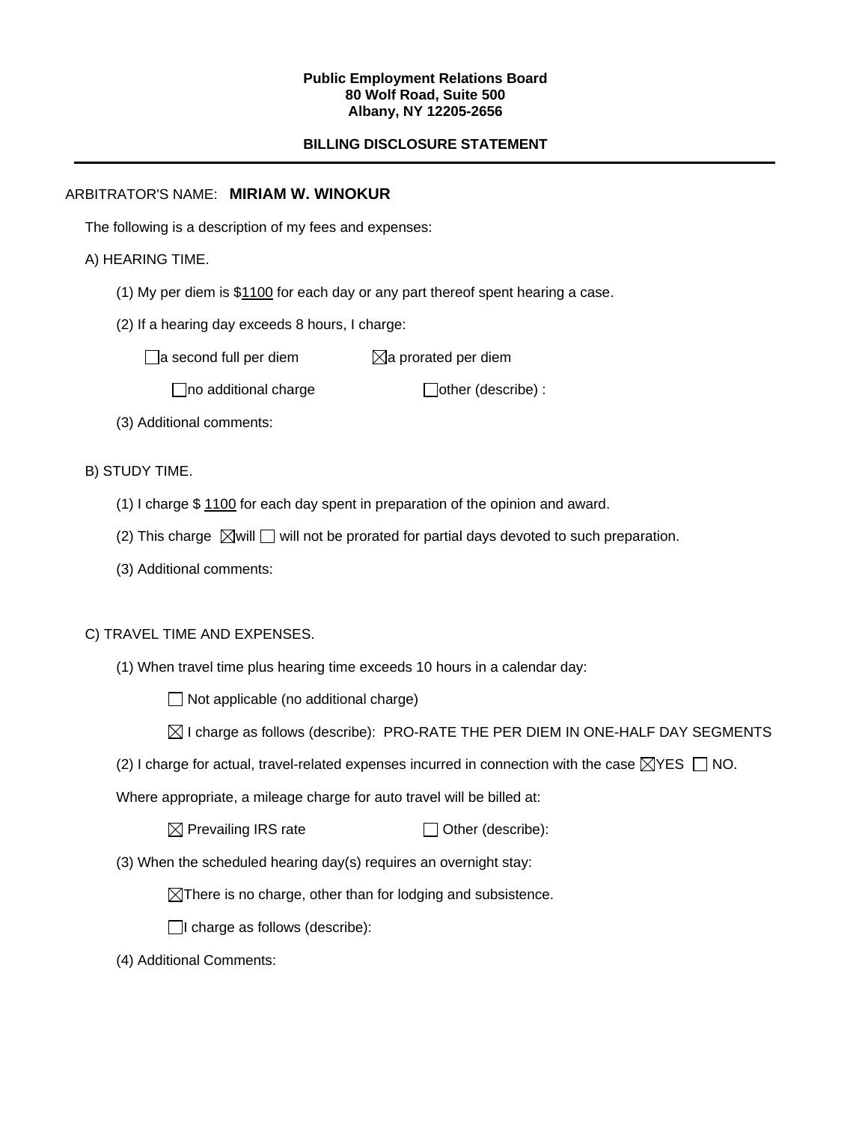#### **Public Employment Relations Board 80 Wolf Road, Suite 500 Albany, NY 12205-2656**

# **BILLING DISCLOSURE STATEMENT**

## ARBITRATOR'S NAME: **MIRIAM W. WINOKUR**

The following is a description of my fees and expenses:

# A) HEARING TIME.

- (1) My per diem is \$1100 for each day or any part thereof spent hearing a case.
- (2) If a hearing day exceeds 8 hours, I charge:

 $\Box$ a second full per diem  $\boxtimes$ a prorated per diem

 $\Box$ no additional charge  $\Box$ other (describe) :

(3) Additional comments:

B) STUDY TIME.

- (1) I charge \$ 1100 for each day spent in preparation of the opinion and award.
- (2) This charge  $\boxtimes$  will  $\Box$  will not be prorated for partial days devoted to such preparation.
- (3) Additional comments:

## C) TRAVEL TIME AND EXPENSES.

(1) When travel time plus hearing time exceeds 10 hours in a calendar day:

 $\Box$  Not applicable (no additional charge)

- $\boxtimes$  I charge as follows (describe): PRO-RATE THE PER DIEM IN ONE-HALF DAY SEGMENTS
- (2) I charge for actual, travel-related expenses incurred in connection with the case  $\boxtimes$ YES  $\Box$  NO.

Where appropriate, a mileage charge for auto travel will be billed at:

 $\boxtimes$  Prevailing IRS rate  $\Box$  Other (describe):

(3) When the scheduled hearing day(s) requires an overnight stay:

 $\boxtimes$ There is no charge, other than for lodging and subsistence.

 $\Box$ I charge as follows (describe):

(4) Additional Comments: